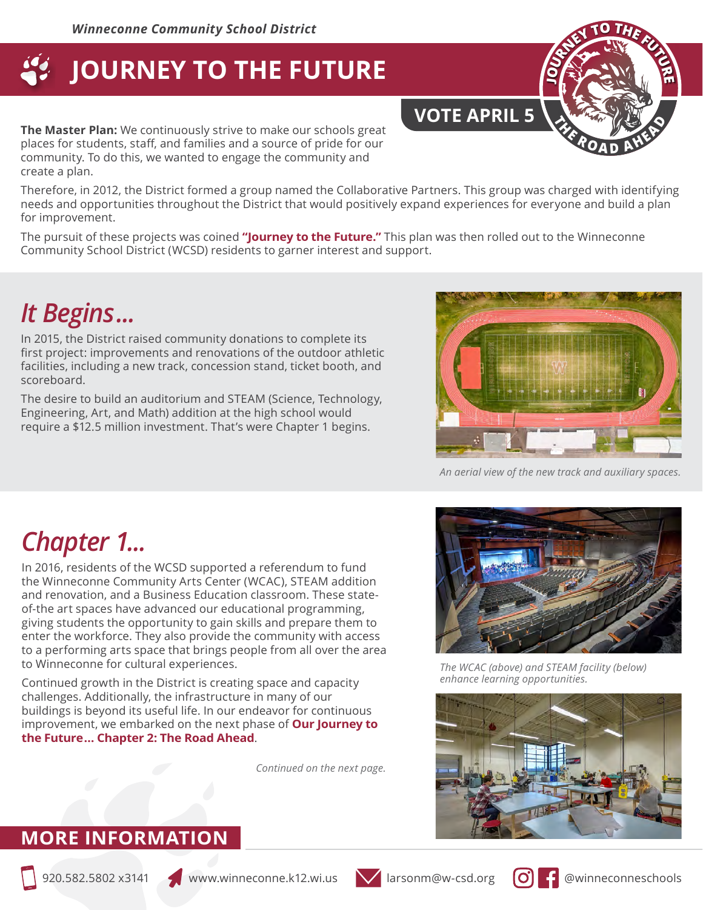# **JOURNEY TO THE FUTURE**

**The Master Plan:** We continuously strive to make our schools great places for students, staff, and families and a source of pride for our community. To do this, we wanted to engage the community and create a plan.

needs and opportunities throughout the District that would positively expand experiences for everyone and build a plan<br>for improvement.<br>The pursuit of these projects was coined **"Journey to the Future."** This plan was then Therefore, in 2012, the District formed a group named the Collaborative Partners. This group was charged with identifying for improvement.

The pursuit of these projects was coined **"Journey to the Future."** This plan was then rolled out to the Winneconne Community School District (WCSD) residents to garner interest and support.

# *It Begins ...*

In 2015, the District raised community donations to complete its first project: improvements and renovations of the outdoor athletic facilities, including a new track, concession stand, ticket booth, and scoreboard.

The desire to build an auditorium and STEAM (Science, Technology, Engineering, Art, and Math) addition at the high school would require a \$12.5 million investment. That's were Chapter 1 begins.



**<sup>T</sup>H<sup>E</sup> <sup>R</sup>O<sup>A</sup> <sup>D</sup>**

**<sup>O</sup>URNE<sup>Y</sup> <sup>T</sup><sup>O</sup> <sup>T</sup>H<sup>E</sup> <sup>F</sup>UTUR<sup>E</sup>**

**J**

**<sup>A</sup> <sup>H</sup><sup>E</sup> <sup>A</sup> <sup>D</sup>**

**VOTE APRIL 5**

*An aerial view of the new track and auxiliary spaces.*

## *Chapter 1...*

In 2016, residents of the WCSD supported a referendum to fund the Winneconne Community Arts Center (WCAC), STEAM addition and renovation, and a Business Education classroom. These stateof-the art spaces have advanced our educational programming, giving students the opportunity to gain skills and prepare them to enter the workforce. They also provide the community with access to a performing arts space that brings people from all over the area to Winneconne for cultural experiences.

Continued growth in the District is creating space and capacity challenges. Additionally, the infrastructure in many of our buildings is beyond its useful life. In our endeavor for continuous improvement, we embarked on the next phase of **Our Journey to the Future … Chapter 2: The Road Ahead**.

*Continued on the next page.*



*The WCAC (above) and STEAM facility (below) enhance learning opportunities.*



### **MORE INFORMATION**